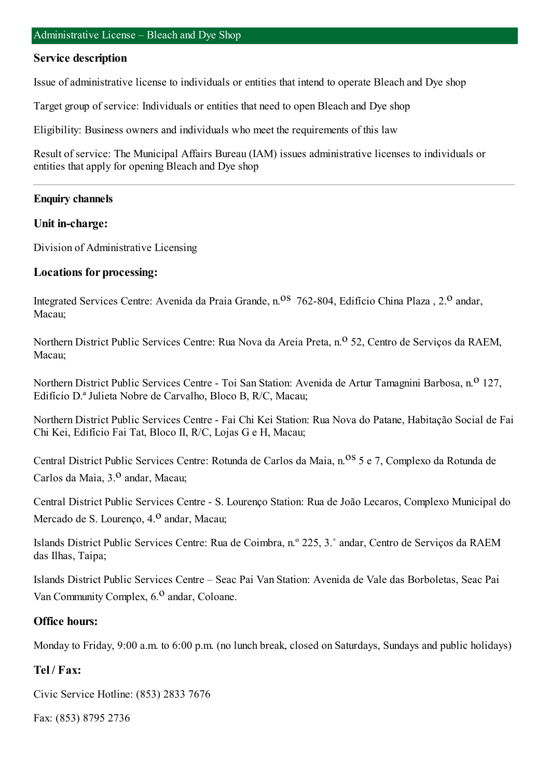### **Service description**

Issue of administrative license to individuals or entities that intend to operate Bleach and Dye shop

Target group of service: Individuals or entities that need to open Bleach and Dye shop

Eligibility: Business owners and individuals who meet the requirements of this law

Result of service: The Municipal Affairs Bureau (IAM) issues administrative licenses to individuals or entities that apply for opening Bleach and Dye shop

#### **Enquiry channels**

#### **Unit in-charge:**

Division of Administrative Licensing

### **Locations for processing:**

Integrated Services Centre: Avenida da Praia Grande, n.<sup>08</sup> 762-804, Edifício China Plaza, 2.<sup>0</sup> andar, Macau;

Northern District Public Services Centre: Rua Nova da Areia Preta, n.<sup>o</sup> 52, Centro de Servicos da RAEM, Macau;

Northern District Public Services Centre - Toi San Station: Avenida de Artur Tamagnini Barbosa, n.<sup>0</sup> 127, Edifício D.ª Julieta Nobre de Carvalho, Bloco B, R/C, Macau;

Northern District Public Services Centre - Fai Chi Kei Station: Rua Nova do Patane, Habitação Social de Fai Chi Kei, Edifício Fai Tat, Bloco II, R/C, Lojas G e H, Macau;

Central District Public Services Centre: Rotunda de Carlos da Maia, n.<sup>08</sup> 5 e 7, Complexo da Rotunda de Carlos da Maia, 3.º andar, Macau;

Central District Public Services Centre - S. Lourenço Station: Rua de João Lecaros, Complexo Municipal do Mercado de S. Lourenço, 4.<sup>0</sup> andar, Macau;

Islands District Public Services Centre: Rua de Coimbra, n.º 225, 3.˚ andar, Centro de Serviços da RAEM das Ilhas, Taipa;

Islands District Public Services Centre – Seac Pai Van Station: Avenida de Vale das Borboletas, Seac Pai Van Community Complex,  $6<sup>0</sup>$  andar, Coloane.

### **Office hours:**

Monday to Friday, 9:00 a.m. to 6:00 p.m. (no lunch break, closed on Saturdays, Sundays and public holidays)

## **Tel / Fax:**

Civic Service Hotline: (853) 2833 7676

Fax: (853) 8795 2736